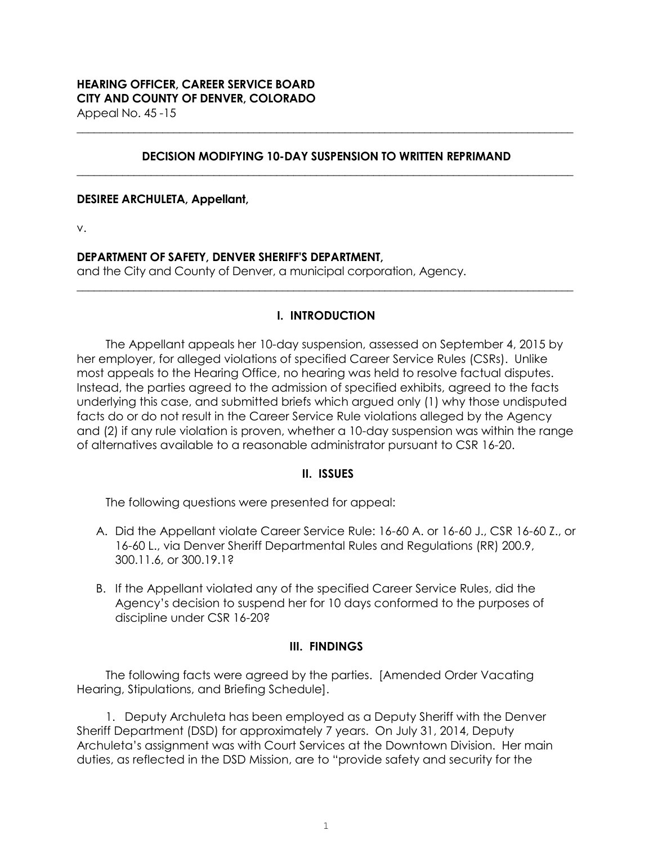### **DECISION MODIFYING 10-DAY SUSPENSION TO WRITTEN REPRIMAND \_\_\_\_\_\_\_\_\_\_\_\_\_\_\_\_\_\_\_\_\_\_\_\_\_\_\_\_\_\_\_\_\_\_\_\_\_\_\_\_\_\_\_\_\_\_\_\_\_\_\_\_\_\_\_\_\_\_\_\_\_\_\_\_\_\_\_\_\_\_\_\_\_\_\_\_\_\_\_\_\_\_\_\_\_\_\_**

**\_\_\_\_\_\_\_\_\_\_\_\_\_\_\_\_\_\_\_\_\_\_\_\_\_\_\_\_\_\_\_\_\_\_\_\_\_\_\_\_\_\_\_\_\_\_\_\_\_\_\_\_\_\_\_\_\_\_\_\_\_\_\_\_\_\_\_\_\_\_\_\_\_\_\_\_\_\_\_\_\_\_\_\_\_\_\_**

#### **DESIREE ARCHULETA, Appellant,**

v.

### **DEPARTMENT OF SAFETY, DENVER SHERIFF'S DEPARTMENT,**

and the City and County of Denver, a municipal corporation, Agency.

# **I. INTRODUCTION**

**\_\_\_\_\_\_\_\_\_\_\_\_\_\_\_\_\_\_\_\_\_\_\_\_\_\_\_\_\_\_\_\_\_\_\_\_\_\_\_\_\_\_\_\_\_\_\_\_\_\_\_\_\_\_\_\_\_\_\_\_\_\_\_\_\_\_\_\_\_\_\_\_\_\_\_\_\_\_\_\_\_\_\_\_\_\_\_**

The Appellant appeals her 10-day suspension, assessed on September 4, 2015 by her employer, for alleged violations of specified Career Service Rules (CSRs). Unlike most appeals to the Hearing Office, no hearing was held to resolve factual disputes. Instead, the parties agreed to the admission of specified exhibits, agreed to the facts underlying this case, and submitted briefs which argued only (1) why those undisputed facts do or do not result in the Career Service Rule violations alleged by the Agency and (2) if any rule violation is proven, whether a 10-day suspension was within the range of alternatives available to a reasonable administrator pursuant to CSR 16-20.

#### **II. ISSUES**

The following questions were presented for appeal:

- A. Did the Appellant violate Career Service Rule: 16-60 A. or 16-60 J., CSR 16-60 Z., or 16-60 L., via Denver Sheriff Departmental Rules and Regulations (RR) 200.9, 300.11.6, or 300.19.1?
- B. If the Appellant violated any of the specified Career Service Rules, did the Agency's decision to suspend her for 10 days conformed to the purposes of discipline under CSR 16-20?

# **III. FINDINGS**

The following facts were agreed by the parties. [Amended Order Vacating Hearing, Stipulations, and Briefing Schedule].

1. Deputy Archuleta has been employed as a Deputy Sheriff with the Denver Sheriff Department (DSD) for approximately 7 years. On July 31, 2014, Deputy Archuleta's assignment was with Court Services at the Downtown Division. Her main duties, as reflected in the DSD Mission, are to "provide safety and security for the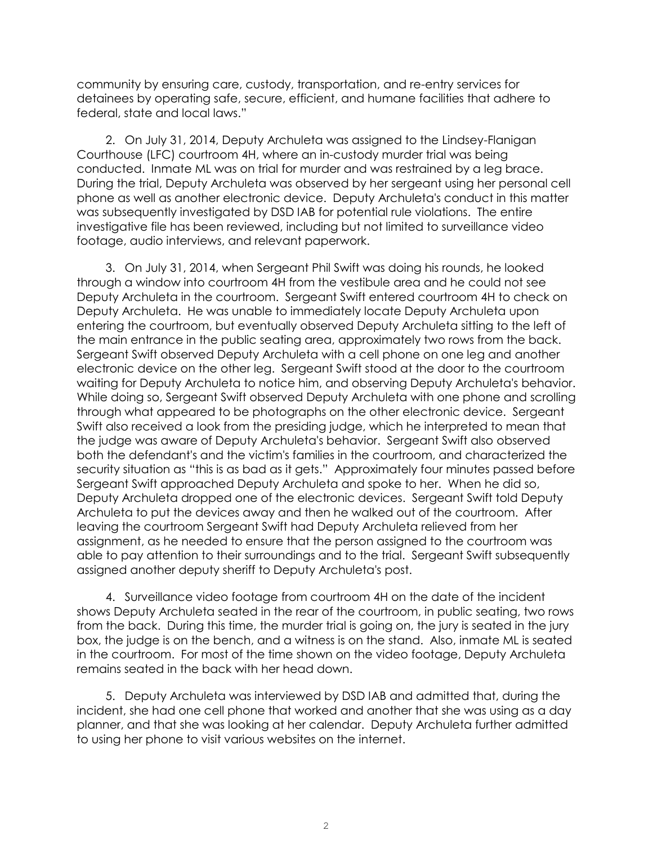community by ensuring care, custody, transportation, and re-entry services for detainees by operating safe, secure, efficient, and humane facilities that adhere to federal, state and local laws."

2. On July 31, 2014, Deputy Archuleta was assigned to the Lindsey-Flanigan Courthouse (LFC) courtroom 4H, where an in-custody murder trial was being conducted. Inmate ML was on trial for murder and was restrained by a leg brace. During the trial, Deputy Archuleta was observed by her sergeant using her personal cell phone as well as another electronic device. Deputy Archuleta's conduct in this matter was subsequently investigated by DSD IAB for potential rule violations. The entire investigative file has been reviewed, including but not limited to surveillance video footage, audio interviews, and relevant paperwork.

3. On July 31, 2014, when Sergeant Phil Swift was doing his rounds, he looked through a window into courtroom 4H from the vestibule area and he could not see Deputy Archuleta in the courtroom. Sergeant Swift entered courtroom 4H to check on Deputy Archuleta. He was unable to immediately locate Deputy Archuleta upon entering the courtroom, but eventually observed Deputy Archuleta sitting to the left of the main entrance in the public seating area, approximately two rows from the back. Sergeant Swift observed Deputy Archuleta with a cell phone on one leg and another electronic device on the other leg. Sergeant Swift stood at the door to the courtroom waiting for Deputy Archuleta to notice him, and observing Deputy Archuleta's behavior. While doing so, Sergeant Swift observed Deputy Archuleta with one phone and scrolling through what appeared to be photographs on the other electronic device. Sergeant Swift also received a look from the presiding judge, which he interpreted to mean that the judge was aware of Deputy Archuleta's behavior. Sergeant Swift also observed both the defendant's and the victim's families in the courtroom, and characterized the security situation as "this is as bad as it gets." Approximately four minutes passed before Sergeant Swift approached Deputy Archuleta and spoke to her. When he did so, Deputy Archuleta dropped one of the electronic devices. Sergeant Swift told Deputy Archuleta to put the devices away and then he walked out of the courtroom. After leaving the courtroom Sergeant Swift had Deputy Archuleta relieved from her assignment, as he needed to ensure that the person assigned to the courtroom was able to pay attention to their surroundings and to the trial. Sergeant Swift subsequently assigned another deputy sheriff to Deputy Archuleta's post.

4. Surveillance video footage from courtroom 4H on the date of the incident shows Deputy Archuleta seated in the rear of the courtroom, in public seating, two rows from the back. During this time, the murder trial is going on, the jury is seated in the jury box, the judge is on the bench, and a witness is on the stand. Also, inmate ML is seated in the courtroom. For most of the time shown on the video footage, Deputy Archuleta remains seated in the back with her head down.

5. Deputy Archuleta was interviewed by DSD IAB and admitted that, during the incident, she had one cell phone that worked and another that she was using as a day planner, and that she was looking at her calendar. Deputy Archuleta further admitted to using her phone to visit various websites on the internet.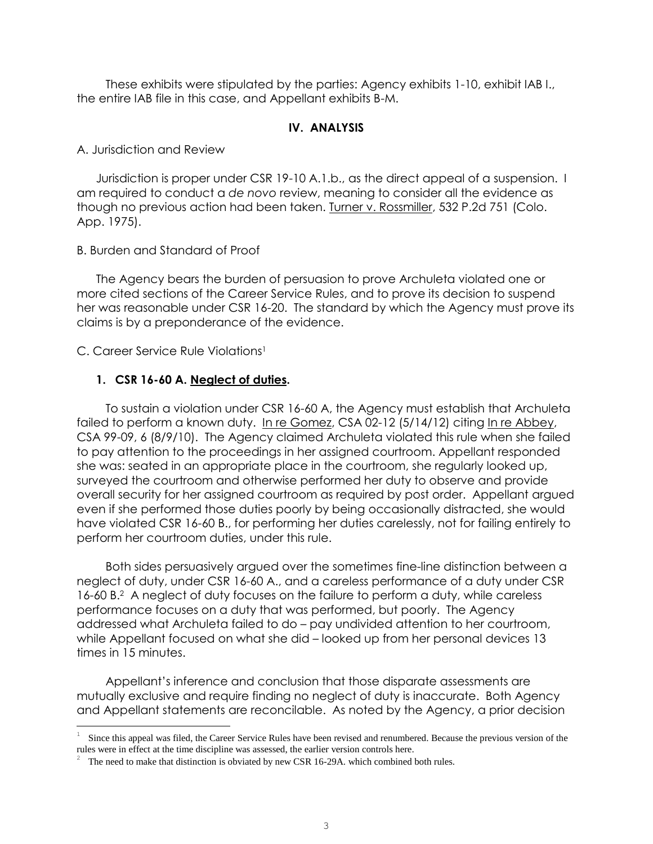These exhibits were stipulated by the parties: Agency exhibits 1-10, exhibit IAB I., the entire IAB file in this case, and Appellant exhibits B-M.

# **IV. ANALYSIS**

A. Jurisdiction and Review

Jurisdiction is proper under CSR 19-10 A.1.b., as the direct appeal of a suspension. I am required to conduct a *de novo* review, meaning to consider all the evidence as though no previous action had been taken. Turner v. Rossmiller, 532 P.2d 751 (Colo. App. 1975).

B. Burden and Standard of Proof

The Agency bears the burden of persuasion to prove Archuleta violated one or more cited sections of the Career Service Rules, and to prove its decision to suspend her was reasonable under CSR 16-20. The standard by which the Agency must prove its claims is by a preponderance of the evidence.

C. Career Service Rule Violations<sup>1</sup>

i<br>L

# **1. CSR 16-60 A. Neglect of duties.**

To sustain a violation under CSR 16-60 A, the Agency must establish that Archuleta failed to perform a known duty. In re Gomez, CSA 02-12 (5/14/12) citing In re Abbey, CSA 99-09, 6 (8/9/10). The Agency claimed Archuleta violated this rule when she failed to pay attention to the proceedings in her assigned courtroom. Appellant responded she was: seated in an appropriate place in the courtroom, she regularly looked up, surveyed the courtroom and otherwise performed her duty to observe and provide overall security for her assigned courtroom as required by post order. Appellant argued even if she performed those duties poorly by being occasionally distracted, she would have violated CSR 16-60 B., for performing her duties carelessly, not for failing entirely to perform her courtroom duties, under this rule.

Both sides persuasively argued over the sometimes fine-line distinction between a neglect of duty, under CSR 16-60 A., and a careless performance of a duty under CSR 16-60 B.<sup>2</sup> A neglect of duty focuses on the failure to perform a duty, while careless performance focuses on a duty that was performed, but poorly. The Agency addressed what Archuleta failed to do – pay undivided attention to her courtroom, while Appellant focused on what she did – looked up from her personal devices 13 times in 15 minutes.

Appellant's inference and conclusion that those disparate assessments are mutually exclusive and require finding no neglect of duty is inaccurate. Both Agency and Appellant statements are reconcilable. As noted by the Agency, a prior decision

<sup>1</sup> Since this appeal was filed, the Career Service Rules have been revised and renumbered. Because the previous version of the rules were in effect at the time discipline was assessed, the earlier version controls here.

<sup>&</sup>lt;sup>2</sup> The need to make that distinction is obviated by new CSR 16-29A. which combined both rules.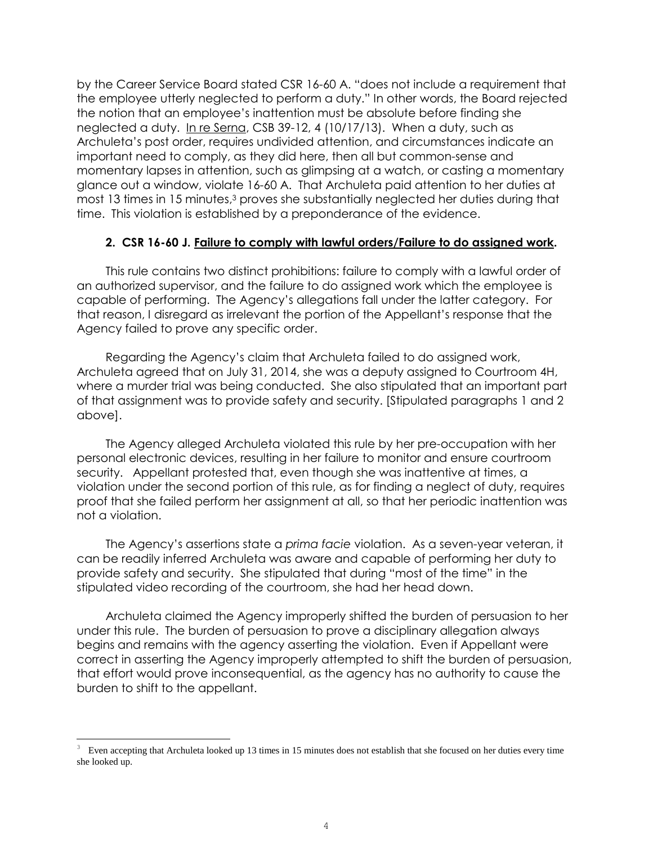by the Career Service Board stated CSR 16-60 A. "does not include a requirement that the employee utterly neglected to perform a duty." In other words, the Board rejected the notion that an employee's inattention must be absolute before finding she neglected a duty. In re Serna, CSB 39-12, 4 (10/17/13). When a duty, such as Archuleta's post order, requires undivided attention, and circumstances indicate an important need to comply, as they did here, then all but common-sense and momentary lapses in attention, such as glimpsing at a watch, or casting a momentary glance out a window, violate 16-60 A. That Archuleta paid attention to her duties at most 13 times in 15 minutes, <sup>3</sup> proves she substantially neglected her duties during that time. This violation is established by a preponderance of the evidence.

### **2. CSR 16-60 J. Failure to comply with lawful orders/Failure to do assigned work.**

This rule contains two distinct prohibitions: failure to comply with a lawful order of an authorized supervisor, and the failure to do assigned work which the employee is capable of performing. The Agency's allegations fall under the latter category. For that reason, I disregard as irrelevant the portion of the Appellant's response that the Agency failed to prove any specific order.

Regarding the Agency's claim that Archuleta failed to do assigned work, Archuleta agreed that on July 31, 2014, she was a deputy assigned to Courtroom 4H, where a murder trial was being conducted. She also stipulated that an important part of that assignment was to provide safety and security. [Stipulated paragraphs 1 and 2 above].

The Agency alleged Archuleta violated this rule by her pre-occupation with her personal electronic devices, resulting in her failure to monitor and ensure courtroom security. Appellant protested that, even though she was inattentive at times, a violation under the second portion of this rule, as for finding a neglect of duty, requires proof that she failed perform her assignment at all, so that her periodic inattention was not a violation.

The Agency's assertions state a *prima facie* violation. As a seven-year veteran, it can be readily inferred Archuleta was aware and capable of performing her duty to provide safety and security. She stipulated that during "most of the time" in the stipulated video recording of the courtroom, she had her head down.

Archuleta claimed the Agency improperly shifted the burden of persuasion to her under this rule. The burden of persuasion to prove a disciplinary allegation always begins and remains with the agency asserting the violation. Even if Appellant were correct in asserting the Agency improperly attempted to shift the burden of persuasion, that effort would prove inconsequential, as the agency has no authority to cause the burden to shift to the appellant.

i<br>L

<sup>3</sup> Even accepting that Archuleta looked up 13 times in 15 minutes does not establish that she focused on her duties every time she looked up.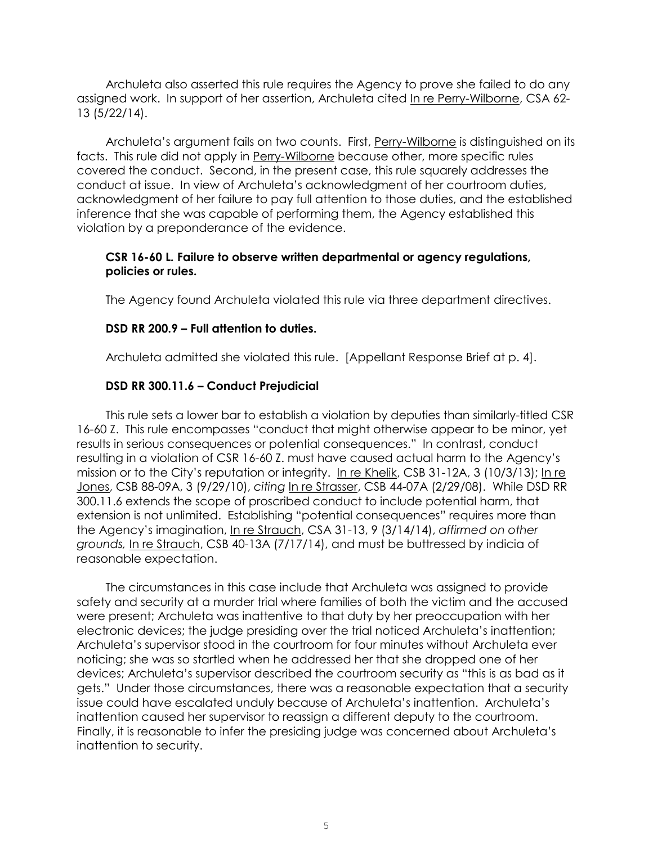Archuleta also asserted this rule requires the Agency to prove she failed to do any assigned work. In support of her assertion, Archuleta cited In re Perry-Wilborne, CSA 62- 13 (5/22/14).

Archuleta's argument fails on two counts. First, Perry-Wilborne is distinguished on its facts. This rule did not apply in Perry-Wilborne because other, more specific rules covered the conduct. Second, in the present case, this rule squarely addresses the conduct at issue. In view of Archuleta's acknowledgment of her courtroom duties, acknowledgment of her failure to pay full attention to those duties, and the established inference that she was capable of performing them, the Agency established this violation by a preponderance of the evidence.

# **CSR 16-60 L. Failure to observe written departmental or agency regulations, policies or rules.**

The Agency found Archuleta violated this rule via three department directives.

# **DSD RR 200.9 – Full attention to duties.**

Archuleta admitted she violated this rule. [Appellant Response Brief at p. 4].

# **DSD RR 300.11.6 – Conduct Prejudicial**

This rule sets a lower bar to establish a violation by deputies than similarly-titled CSR 16-60 Z. This rule encompasses "conduct that might otherwise appear to be minor, yet results in serious consequences or potential consequences." In contrast, conduct resulting in a violation of CSR 16-60 Z. must have caused actual harm to the Agency's mission or to the City's reputation or integrity. In re Khelik, CSB 31-12A, 3 (10/3/13); In re Jones, CSB 88-09A, 3 (9/29/10), *citing* In re Strasser, CSB 44-07A (2/29/08). While DSD RR 300.11.6 extends the scope of proscribed conduct to include potential harm, that extension is not unlimited. Establishing "potential consequences" requires more than the Agency's imagination, In re Strauch, CSA 31-13, 9 (3/14/14), *affirmed on other grounds,* In re Strauch, CSB 40-13A (7/17/14), and must be buttressed by indicia of reasonable expectation.

The circumstances in this case include that Archuleta was assigned to provide safety and security at a murder trial where families of both the victim and the accused were present; Archuleta was inattentive to that duty by her preoccupation with her electronic devices; the judge presiding over the trial noticed Archuleta's inattention; Archuleta's supervisor stood in the courtroom for four minutes without Archuleta ever noticing; she was so startled when he addressed her that she dropped one of her devices; Archuleta's supervisor described the courtroom security as "this is as bad as it gets." Under those circumstances, there was a reasonable expectation that a security issue could have escalated unduly because of Archuleta's inattention. Archuleta's inattention caused her supervisor to reassign a different deputy to the courtroom. Finally, it is reasonable to infer the presiding judge was concerned about Archuleta's inattention to security.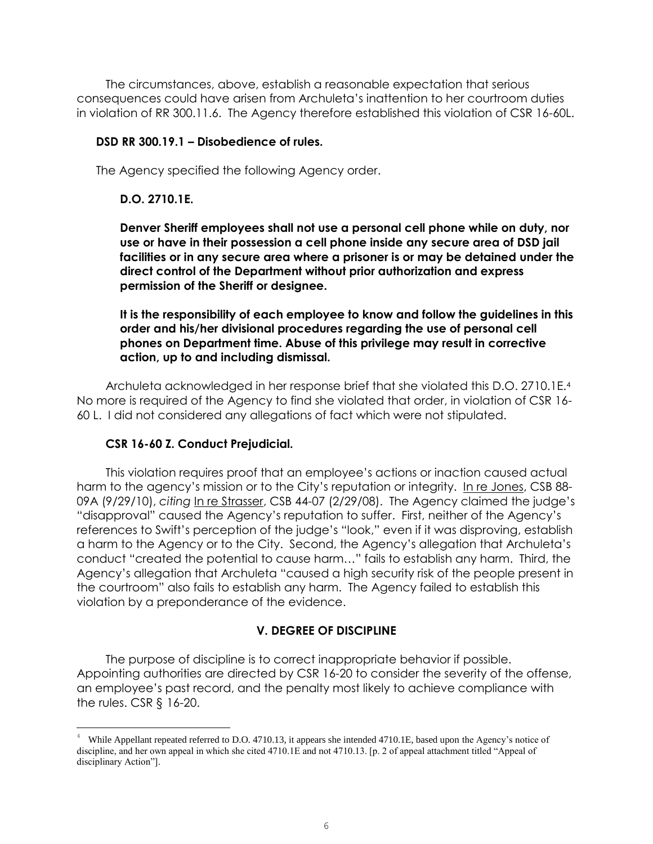The circumstances, above, establish a reasonable expectation that serious consequences could have arisen from Archuleta's inattention to her courtroom duties in violation of RR 300.11.6. The Agency therefore established this violation of CSR 16-60L.

#### **DSD RR 300.19.1 – Disobedience of rules.**

The Agency specified the following Agency order.

#### **D.O. 2710.1E.**

**Denver Sheriff employees shall not use a personal cell phone while on duty, nor use or have in their possession a cell phone inside any secure area of DSD jail facilities or in any secure area where a prisoner is or may be detained under the direct control of the Department without prior authorization and express permission of the Sheriff or designee.** 

**It is the responsibility of each employee to know and follow the guidelines in this order and his/her divisional procedures regarding the use of personal cell phones on Department time. Abuse of this privilege may result in corrective action, up to and including dismissal.**

Archuleta acknowledged in her response brief that she violated this D.O. 2710.1E. 4 No more is required of the Agency to find she violated that order, in violation of CSR 16- 60 L. I did not considered any allegations of fact which were not stipulated.

#### **CSR 16-60 Z. Conduct Prejudicial.**

i<br>L

This violation requires proof that an employee's actions or inaction caused actual harm to the agency's mission or to the City's reputation or integrity. In re Jones, CSB 88- 09A (9/29/10), *citing* In re Strasser, CSB 44-07 (2/29/08). The Agency claimed the judge's "disapproval" caused the Agency's reputation to suffer. First, neither of the Agency's references to Swift's perception of the judge's "look," even if it was disproving, establish a harm to the Agency or to the City. Second, the Agency's allegation that Archuleta's conduct "created the potential to cause harm…" fails to establish any harm. Third, the Agency's allegation that Archuleta "caused a high security risk of the people present in the courtroom" also fails to establish any harm. The Agency failed to establish this violation by a preponderance of the evidence.

#### **V. DEGREE OF DISCIPLINE**

The purpose of discipline is to correct inappropriate behavior if possible. Appointing authorities are directed by CSR 16-20 to consider the severity of the offense, an employee's past record, and the penalty most likely to achieve compliance with the rules. CSR § 16-20.

While Appellant repeated referred to D.O. 4710.13, it appears she intended 4710.1E, based upon the Agency's notice of discipline, and her own appeal in which she cited 4710.1E and not 4710.13. [p. 2 of appeal attachment titled "Appeal of disciplinary Action"].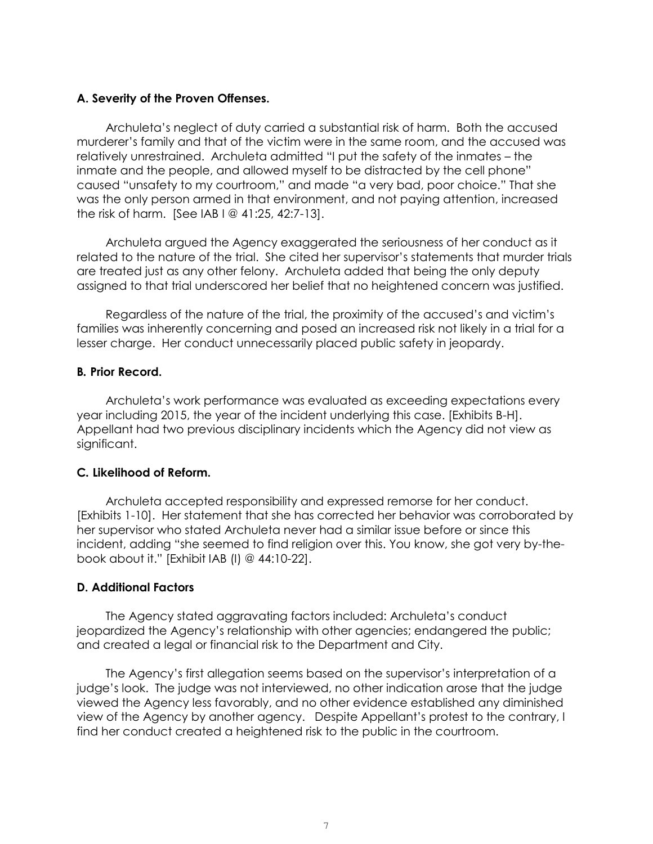### **A. Severity of the Proven Offenses.**

Archuleta's neglect of duty carried a substantial risk of harm. Both the accused murderer's family and that of the victim were in the same room, and the accused was relatively unrestrained. Archuleta admitted "I put the safety of the inmates – the inmate and the people, and allowed myself to be distracted by the cell phone" caused "unsafety to my courtroom," and made "a very bad, poor choice." That she was the only person armed in that environment, and not paying attention, increased the risk of harm. [See IAB I @ 41:25, 42:7-13].

Archuleta argued the Agency exaggerated the seriousness of her conduct as it related to the nature of the trial. She cited her supervisor's statements that murder trials are treated just as any other felony. Archuleta added that being the only deputy assigned to that trial underscored her belief that no heightened concern was justified.

Regardless of the nature of the trial, the proximity of the accused's and victim's families was inherently concerning and posed an increased risk not likely in a trial for a lesser charge. Her conduct unnecessarily placed public safety in jeopardy.

### **B***.* **Prior Record.**

Archuleta's work performance was evaluated as exceeding expectations every year including 2015, the year of the incident underlying this case. [Exhibits B-H]. Appellant had two previous disciplinary incidents which the Agency did not view as significant.

# **C***.* **Likelihood of Reform.**

Archuleta accepted responsibility and expressed remorse for her conduct. [Exhibits 1-10]. Her statement that she has corrected her behavior was corroborated by her supervisor who stated Archuleta never had a similar issue before or since this incident, adding "she seemed to find religion over this. You know, she got very by-thebook about it." [Exhibit IAB (I) @ 44:10-22].

### **D. Additional Factors**

The Agency stated aggravating factors included: Archuleta's conduct jeopardized the Agency's relationship with other agencies; endangered the public; and created a legal or financial risk to the Department and City.

The Agency's first allegation seems based on the supervisor's interpretation of a judge's look. The judge was not interviewed, no other indication arose that the judge viewed the Agency less favorably, and no other evidence established any diminished view of the Agency by another agency. Despite Appellant's protest to the contrary, I find her conduct created a heightened risk to the public in the courtroom.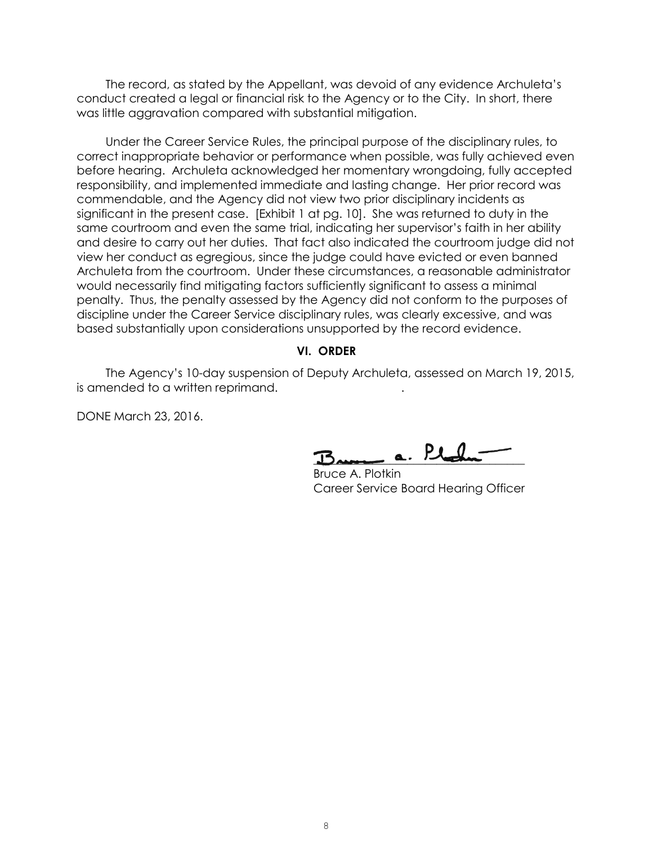The record, as stated by the Appellant, was devoid of any evidence Archuleta's conduct created a legal or financial risk to the Agency or to the City. In short, there was little aggravation compared with substantial mitigation.

Under the Career Service Rules, the principal purpose of the disciplinary rules, to correct inappropriate behavior or performance when possible, was fully achieved even before hearing. Archuleta acknowledged her momentary wrongdoing, fully accepted responsibility, and implemented immediate and lasting change. Her prior record was commendable, and the Agency did not view two prior disciplinary incidents as significant in the present case. [Exhibit 1 at pg. 10]. She was returned to duty in the same courtroom and even the same trial, indicating her supervisor's faith in her ability and desire to carry out her duties. That fact also indicated the courtroom judge did not view her conduct as egregious, since the judge could have evicted or even banned Archuleta from the courtroom. Under these circumstances, a reasonable administrator would necessarily find mitigating factors sufficiently significant to assess a minimal penalty. Thus, the penalty assessed by the Agency did not conform to the purposes of discipline under the Career Service disciplinary rules, was clearly excessive, and was based substantially upon considerations unsupported by the record evidence.

#### **VI. ORDER**

The Agency's 10-day suspension of Deputy Archuleta, assessed on March 19, 2015, is amended to a written reprimand. .

DONE March 23, 2016.

 $L_{\text{A}}$   $\alpha$ .  $\lambda$  the

 Bruce A. Plotkin Career Service Board Hearing Officer